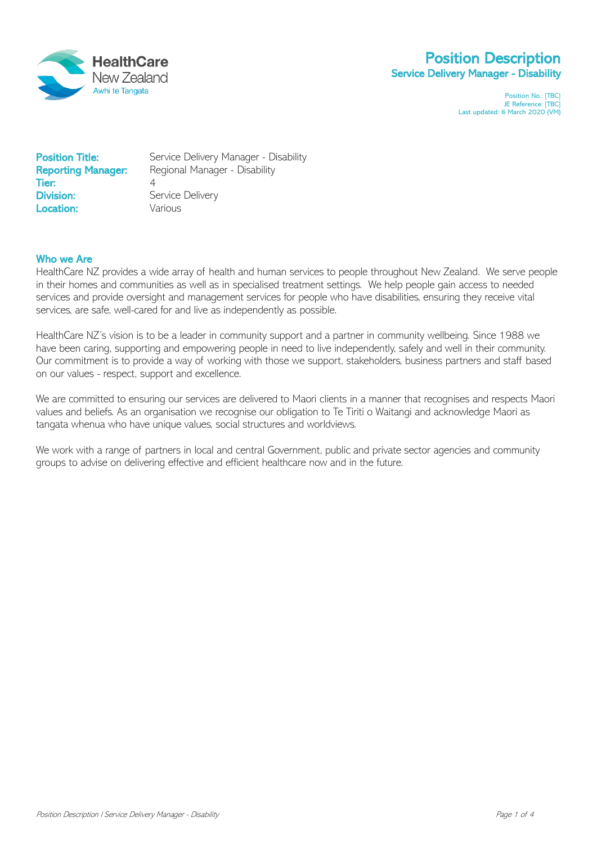

# Position Description Service Delivery Manager - Disability

Position No.: [TBC] JE Reference: [TBC] Last updated: 6 March 2020 (VM)

| <b>Position Title:</b>    | Service Delivery Manager - Disability |
|---------------------------|---------------------------------------|
| <b>Reporting Manager:</b> | Regional Manager - Disability         |
| Tier:                     | Service Delivery                      |
| <b>Division:</b>          | Various                               |
| Location:                 |                                       |

### Who we Are

HealthCare NZ provides a wide array of health and human services to people throughout New Zealand. We serve people in their homes and communities as well as in specialised treatment settings. We help people gain access to needed services and provide oversight and management services for people who have disabilities, ensuring they receive vital services, are safe, well-cared for and live as independently as possible.

HealthCare NZ's vision is to be a leader in community support and a partner in community wellbeing. Since 1988 we have been caring, supporting and empowering people in need to live independently, safely and well in their community. Our commitment is to provide a way of working with those we support, stakeholders, business partners and staff based on our values - respect, support and excellence.

We are committed to ensuring our services are delivered to Maori clients in a manner that recognises and respects Maori values and beliefs. As an organisation we recognise our obligation to Te Tiriti o Waitangi and acknowledge Maori as tangata whenua who have unique values, social structures and worldviews.

We work with a range of partners in local and central Government, public and private sector agencies and community groups to advise on delivering effective and efficient healthcare now and in the future.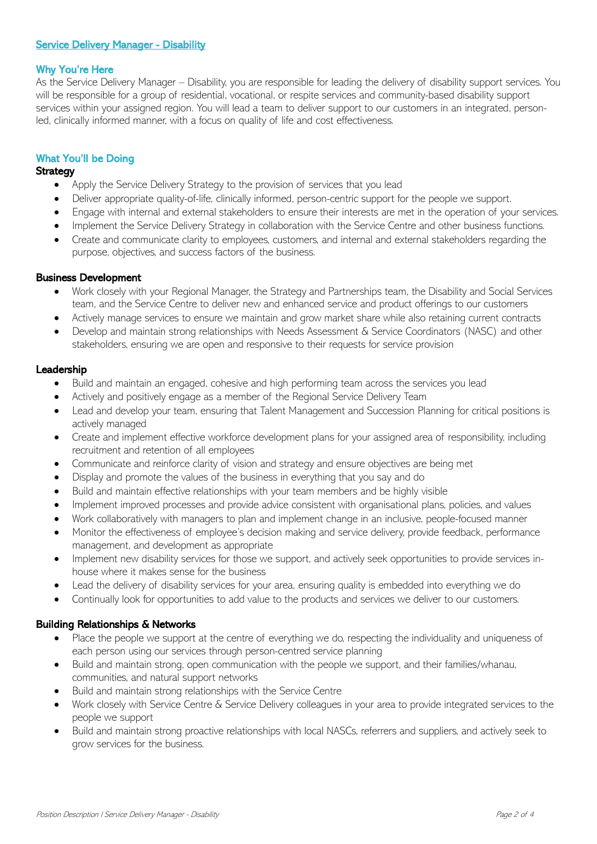# **Service Delivery Manager - Disability**

### Why You're Here

As the Service Delivery Manager – Disability, you are responsible for leading the delivery of disability support services. You will be responsible for a group of residential, vocational, or respite services and community-based disability support services within your assigned region. You will lead a team to deliver support to our customers in an integrated, personled, clinically informed manner, with a focus on quality of life and cost effectiveness.

### What You'll be Doing

### **Strategy**

- Apply the Service Delivery Strategy to the provision of services that you lead
- Deliver appropriate quality-of-life, clinically informed, person-centric support for the people we support.
- Engage with internal and external stakeholders to ensure their interests are met in the operation of your services.
- Implement the Service Delivery Strategy in collaboration with the Service Centre and other business functions.
- Create and communicate clarity to employees, customers, and internal and external stakeholders regarding the purpose, objectives, and success factors of the business.

### Business Development

- Work closely with your Regional Manager, the Strategy and Partnerships team, the Disability and Social Services team, and the Service Centre to deliver new and enhanced service and product offerings to our customers
- Actively manage services to ensure we maintain and grow market share while also retaining current contracts
- Develop and maintain strong relationships with Needs Assessment & Service Coordinators (NASC) and other stakeholders, ensuring we are open and responsive to their requests for service provision

### Leadership

- Build and maintain an engaged, cohesive and high performing team across the services you lead
- Actively and positively engage as a member of the Regional Service Delivery Team
- Lead and develop your team, ensuring that Talent Management and Succession Planning for critical positions is actively managed
- Create and implement effective workforce development plans for your assigned area of responsibility, including recruitment and retention of all employees
- Communicate and reinforce clarity of vision and strategy and ensure objectives are being met
- Display and promote the values of the business in everything that you say and do
- Build and maintain effective relationships with your team members and be highly visible
- Implement improved processes and provide advice consistent with organisational plans, policies, and values
- Work collaboratively with managers to plan and implement change in an inclusive, people-focused manner
- Monitor the effectiveness of employee's decision making and service delivery, provide feedback, performance management, and development as appropriate
- Implement new disability services for those we support, and actively seek opportunities to provide services inhouse where it makes sense for the business
- Lead the delivery of disability services for your area, ensuring quality is embedded into everything we do
- Continually look for opportunities to add value to the products and services we deliver to our customers.

# Building Relationships & Networks

- Place the people we support at the centre of everything we do, respecting the individuality and uniqueness of each person using our services through person-centred service planning
- Build and maintain strong, open communication with the people we support, and their families/whanau, communities, and natural support networks
- Build and maintain strong relationships with the Service Centre
- Work closely with Service Centre & Service Delivery colleagues in your area to provide integrated services to the people we support
- Build and maintain strong proactive relationships with local NASCs, referrers and suppliers, and actively seek to grow services for the business.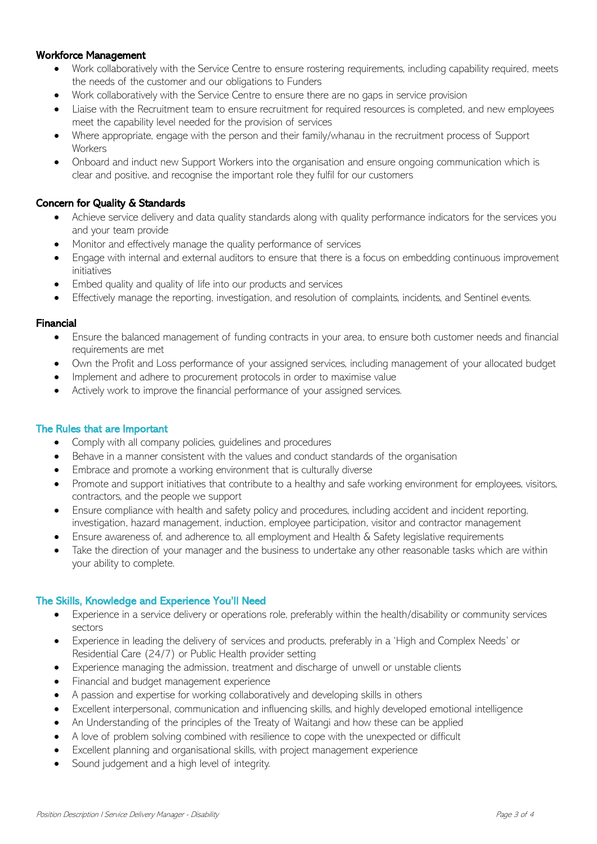# Workforce Management

- Work collaboratively with the Service Centre to ensure rostering requirements, including capability required, meets the needs of the customer and our obligations to Funders
- Work collaboratively with the Service Centre to ensure there are no gaps in service provision
- Liaise with the Recruitment team to ensure recruitment for required resources is completed, and new employees meet the capability level needed for the provision of services
- Where appropriate, engage with the person and their family/whanau in the recruitment process of Support **Workers**
- Onboard and induct new Support Workers into the organisation and ensure ongoing communication which is clear and positive, and recognise the important role they fulfil for our customers

## Concern for Quality & Standards

- Achieve service delivery and data quality standards along with quality performance indicators for the services you and your team provide
- Monitor and effectively manage the quality performance of services
- Engage with internal and external auditors to ensure that there is a focus on embedding continuous improvement initiatives
- Embed quality and quality of life into our products and services
- Effectively manage the reporting, investigation, and resolution of complaints, incidents, and Sentinel events.

### Financial

- Ensure the balanced management of funding contracts in your area, to ensure both customer needs and financial requirements are met
- Own the Profit and Loss performance of your assigned services, including management of your allocated budget
- Implement and adhere to procurement protocols in order to maximise value
- Actively work to improve the financial performance of your assigned services.

### The Rules that are Important

- Comply with all company policies, guidelines and procedures
- Behave in a manner consistent with the values and conduct standards of the organisation
- Embrace and promote a working environment that is culturally diverse
- Promote and support initiatives that contribute to a healthy and safe working environment for employees, visitors, contractors, and the people we support
- Ensure compliance with health and safety policy and procedures, including accident and incident reporting, investigation, hazard management, induction, employee participation, visitor and contractor management
- Ensure awareness of, and adherence to, all employment and Health & Safety legislative requirements
- Take the direction of your manager and the business to undertake any other reasonable tasks which are within your ability to complete.

# The Skills, Knowledge and Experience You'll Need

- Experience in a service delivery or operations role, preferably within the health/disability or community services sectors
- Experience in leading the delivery of services and products, preferably in a 'High and Complex Needs' or Residential Care (24/7) or Public Health provider setting
- Experience managing the admission, treatment and discharge of unwell or unstable clients
- Financial and budget management experience
- A passion and expertise for working collaboratively and developing skills in others
- Excellent interpersonal, communication and influencing skills, and highly developed emotional intelligence
- An Understanding of the principles of the Treaty of Waitangi and how these can be applied
- A love of problem solving combined with resilience to cope with the unexpected or difficult
- Excellent planning and organisational skills, with project management experience
- Sound judgement and a high level of integrity.